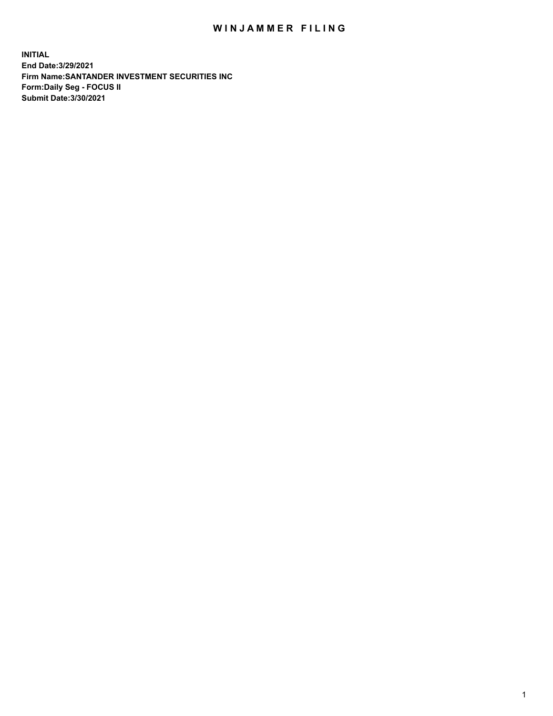## WIN JAMMER FILING

**INITIAL End Date:3/29/2021 Firm Name:SANTANDER INVESTMENT SECURITIES INC Form:Daily Seg - FOCUS II Submit Date:3/30/2021**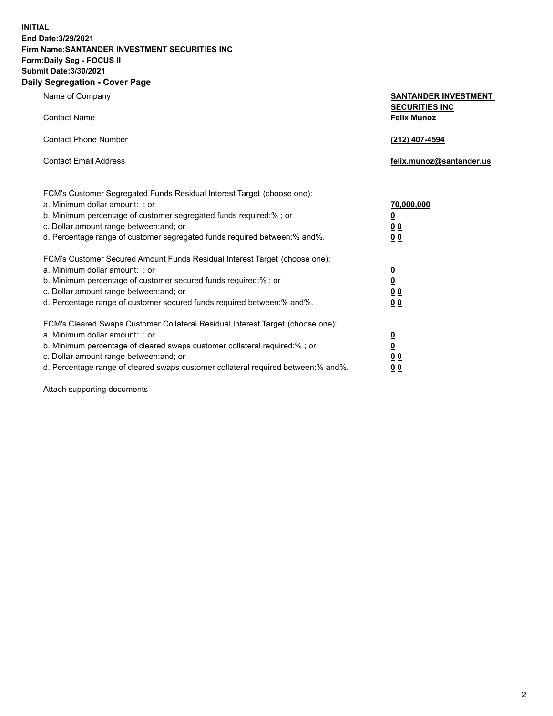**INITIAL End Date:3/29/2021 Firm Name:SANTANDER INVESTMENT SECURITIES INC Form:Daily Seg - FOCUS II Submit Date:3/30/2021 Daily Segregation - Cover Page**

| Name of Company                                                                | <b>SANTANDER INVESTMENT</b> |
|--------------------------------------------------------------------------------|-----------------------------|
|                                                                                | <b>SECURITIES INC</b>       |
| <b>Contact Name</b>                                                            | <b>Felix Munoz</b>          |
|                                                                                |                             |
| <b>Contact Phone Number</b>                                                    | (212) 407-4594              |
|                                                                                |                             |
| <b>Contact Email Address</b>                                                   | felix.munoz@santander.us    |
|                                                                                |                             |
|                                                                                |                             |
| FCM's Customer Segregated Funds Residual Interest Target (choose one):         |                             |
| a. Minimum dollar amount: ; or                                                 | 70,000,000                  |
| b. Minimum percentage of customer segregated funds required:% ; or             | <u>0</u>                    |
| c. Dollar amount range between: and; or                                        | 0 <sub>0</sub>              |
| d. Percentage range of customer segregated funds required between: % and %.    | 0 <sub>0</sub>              |
|                                                                                |                             |
| FCM's Customer Secured Amount Funds Residual Interest Target (choose one):     |                             |
| a. Minimum dollar amount: ; or                                                 | $\overline{\mathbf{0}}$     |
| b. Minimum percentage of customer secured funds required:%; or                 | $\overline{\mathbf{0}}$     |
| c. Dollar amount range between: and; or                                        | 0 <sub>0</sub>              |
| d. Percentage range of customer secured funds required between:% and%.         | 0 <sub>0</sub>              |
|                                                                                |                             |
| FCM's Cleared Swaps Customer Collateral Residual Interest Target (choose one): |                             |
| a. Minimum dollar amount: ; or                                                 | $\overline{\mathbf{0}}$     |
| b. Minimum percentage of cleared swaps customer collateral required:%; or      | $\underline{\mathbf{0}}$    |
| c. Dollar amount range hetween and: or                                         | ስ በ                         |

c. Dollar amount range between:and; or **0 0** d. Percentage range of cleared swaps customer collateral required between:% and%. **0 0**

Attach supporting documents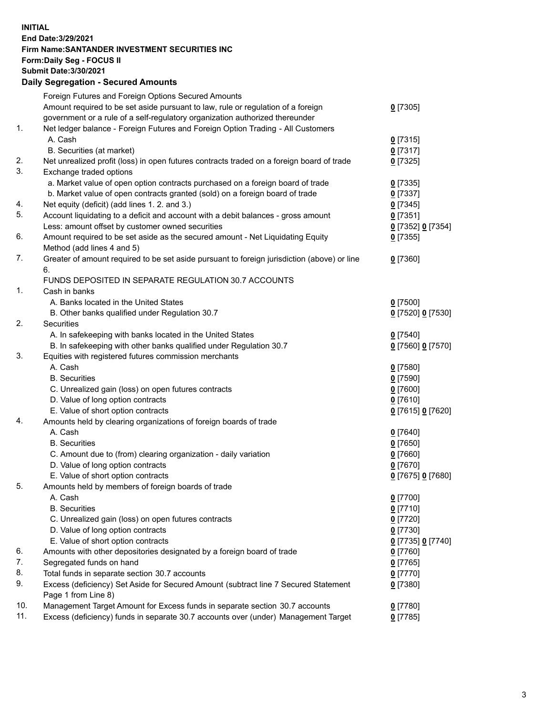**INITIAL End Date:3/29/2021 Firm Name:SANTANDER INVESTMENT SECURITIES INC Form:Daily Seg - FOCUS II Submit Date:3/30/2021 Daily Segregation - Secured Amounts**

|     | Foreign Futures and Foreign Options Secured Amounts                                         |                   |
|-----|---------------------------------------------------------------------------------------------|-------------------|
|     | Amount required to be set aside pursuant to law, rule or regulation of a foreign            | $0$ [7305]        |
|     | government or a rule of a self-regulatory organization authorized thereunder                |                   |
| 1.  | Net ledger balance - Foreign Futures and Foreign Option Trading - All Customers             |                   |
|     | A. Cash                                                                                     | $0$ [7315]        |
|     | B. Securities (at market)                                                                   | $0$ [7317]        |
| 2.  | Net unrealized profit (loss) in open futures contracts traded on a foreign board of trade   | $0$ [7325]        |
| 3.  | Exchange traded options                                                                     |                   |
|     | a. Market value of open option contracts purchased on a foreign board of trade              | $0$ [7335]        |
|     | b. Market value of open contracts granted (sold) on a foreign board of trade                | $0$ [7337]        |
| 4.  | Net equity (deficit) (add lines 1. 2. and 3.)                                               | $0$ [7345]        |
| 5.  | Account liquidating to a deficit and account with a debit balances - gross amount           | $0$ [7351]        |
|     | Less: amount offset by customer owned securities                                            | 0 [7352] 0 [7354] |
| 6.  | Amount required to be set aside as the secured amount - Net Liquidating Equity              | $0$ [7355]        |
|     | Method (add lines 4 and 5)                                                                  |                   |
| 7.  | Greater of amount required to be set aside pursuant to foreign jurisdiction (above) or line | $0$ [7360]        |
|     | 6.                                                                                          |                   |
|     | FUNDS DEPOSITED IN SEPARATE REGULATION 30.7 ACCOUNTS                                        |                   |
| 1.  | Cash in banks                                                                               |                   |
|     | A. Banks located in the United States                                                       | $0$ [7500]        |
|     | B. Other banks qualified under Regulation 30.7                                              | 0 [7520] 0 [7530] |
| 2.  | Securities                                                                                  |                   |
|     | A. In safekeeping with banks located in the United States                                   | $0$ [7540]        |
|     | B. In safekeeping with other banks qualified under Regulation 30.7                          | 0 [7560] 0 [7570] |
| 3.  | Equities with registered futures commission merchants                                       |                   |
|     | A. Cash                                                                                     | $0$ [7580]        |
|     | <b>B.</b> Securities                                                                        | $0$ [7590]        |
|     | C. Unrealized gain (loss) on open futures contracts                                         | $0$ [7600]        |
|     | D. Value of long option contracts                                                           | $0$ [7610]        |
|     | E. Value of short option contracts                                                          | 0 [7615] 0 [7620] |
| 4.  | Amounts held by clearing organizations of foreign boards of trade                           |                   |
|     | A. Cash                                                                                     | $0$ [7640]        |
|     | <b>B.</b> Securities                                                                        | $0$ [7650]        |
|     | C. Amount due to (from) clearing organization - daily variation                             | $0$ [7660]        |
|     | D. Value of long option contracts                                                           | $0$ [7670]        |
|     | E. Value of short option contracts                                                          | 0 [7675] 0 [7680] |
| 5.  | Amounts held by members of foreign boards of trade                                          |                   |
|     | A. Cash                                                                                     | 0 [7700]          |
|     | <b>B.</b> Securities                                                                        | $0$ [7710]        |
|     | C. Unrealized gain (loss) on open futures contracts                                         | $0$ [7720]        |
|     | D. Value of long option contracts                                                           | $0$ [7730]        |
|     | E. Value of short option contracts                                                          | 0 [7735] 0 [7740] |
| 6.  | Amounts with other depositories designated by a foreign board of trade                      | 0 [7760]          |
| 7.  | Segregated funds on hand                                                                    | $0$ [7765]        |
| 8.  | Total funds in separate section 30.7 accounts                                               | $0$ [7770]        |
| 9.  | Excess (deficiency) Set Aside for Secured Amount (subtract line 7 Secured Statement         | 0 [7380]          |
|     | Page 1 from Line 8)                                                                         |                   |
| 10. | Management Target Amount for Excess funds in separate section 30.7 accounts                 | $0$ [7780]        |
| 11. | Excess (deficiency) funds in separate 30.7 accounts over (under) Management Target          | $0$ [7785]        |
|     |                                                                                             |                   |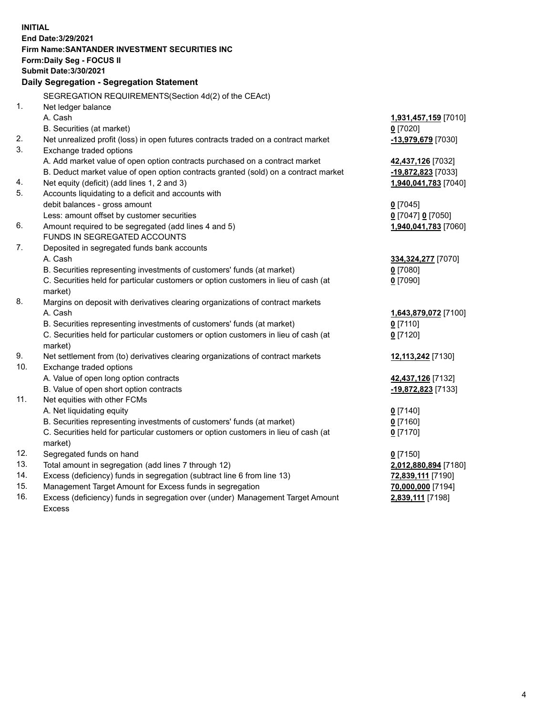| <b>INITIAL</b> |                                                                                            |                      |  |  |  |  |
|----------------|--------------------------------------------------------------------------------------------|----------------------|--|--|--|--|
|                | End Date: 3/29/2021                                                                        |                      |  |  |  |  |
|                | Firm Name: SANTANDER INVESTMENT SECURITIES INC                                             |                      |  |  |  |  |
|                | Form: Daily Seg - FOCUS II                                                                 |                      |  |  |  |  |
|                | <b>Submit Date: 3/30/2021</b>                                                              |                      |  |  |  |  |
|                | Daily Segregation - Segregation Statement                                                  |                      |  |  |  |  |
|                | SEGREGATION REQUIREMENTS(Section 4d(2) of the CEAct)                                       |                      |  |  |  |  |
| 1.             | Net ledger balance                                                                         |                      |  |  |  |  |
|                | A. Cash                                                                                    | 1,931,457,159 [7010] |  |  |  |  |
|                | B. Securities (at market)                                                                  | $0$ [7020]           |  |  |  |  |
| 2.             | Net unrealized profit (loss) in open futures contracts traded on a contract market         | -13,979,679 [7030]   |  |  |  |  |
| 3.             | Exchange traded options                                                                    |                      |  |  |  |  |
|                | A. Add market value of open option contracts purchased on a contract market                | 42,437,126 [7032]    |  |  |  |  |
|                | B. Deduct market value of open option contracts granted (sold) on a contract market        | -19,872,823 [7033]   |  |  |  |  |
| 4.             | Net equity (deficit) (add lines 1, 2 and 3)                                                | 1,940,041,783 [7040] |  |  |  |  |
| 5.             | Accounts liquidating to a deficit and accounts with                                        |                      |  |  |  |  |
|                | debit balances - gross amount                                                              | $0$ [7045]           |  |  |  |  |
|                | Less: amount offset by customer securities                                                 | 0 [7047] 0 [7050]    |  |  |  |  |
| 6.             | Amount required to be segregated (add lines 4 and 5)                                       | 1,940,041,783 [7060] |  |  |  |  |
|                | FUNDS IN SEGREGATED ACCOUNTS                                                               |                      |  |  |  |  |
| 7.             | Deposited in segregated funds bank accounts                                                |                      |  |  |  |  |
|                | A. Cash                                                                                    | 334,324,277 [7070]   |  |  |  |  |
|                | B. Securities representing investments of customers' funds (at market)                     | $0$ [7080]           |  |  |  |  |
|                | C. Securities held for particular customers or option customers in lieu of cash (at        | $0$ [7090]           |  |  |  |  |
|                | market)                                                                                    |                      |  |  |  |  |
| 8.             | Margins on deposit with derivatives clearing organizations of contract markets             |                      |  |  |  |  |
|                | A. Cash                                                                                    | 1,643,879,072 [7100] |  |  |  |  |
|                | B. Securities representing investments of customers' funds (at market)                     | $0$ [7110]           |  |  |  |  |
|                | C. Securities held for particular customers or option customers in lieu of cash (at        | $0$ [7120]           |  |  |  |  |
| 9.             | market)<br>Net settlement from (to) derivatives clearing organizations of contract markets | 12,113,242 [7130]    |  |  |  |  |
| 10.            | Exchange traded options                                                                    |                      |  |  |  |  |
|                | A. Value of open long option contracts                                                     | 42,437,126 [7132]    |  |  |  |  |
|                | B. Value of open short option contracts                                                    | -19,872,823 [7133]   |  |  |  |  |
| 11.            | Net equities with other FCMs                                                               |                      |  |  |  |  |
|                | A. Net liquidating equity                                                                  | $0$ [7140]           |  |  |  |  |
|                | B. Securities representing investments of customers' funds (at market)                     | $0$ [7160]           |  |  |  |  |
|                | C. Securities held for particular customers or option customers in lieu of cash (at        | $0$ [7170]           |  |  |  |  |
|                | market)                                                                                    |                      |  |  |  |  |
| 12.            | Segregated funds on hand                                                                   | $0$ [7150]           |  |  |  |  |
| 13.            | Total amount in segregation (add lines 7 through 12)                                       | 2,012,880,894 [7180] |  |  |  |  |
| 14.            | Excess (deficiency) funds in segregation (subtract line 6 from line 13)                    | 72,839,111 [7190]    |  |  |  |  |
| 15.            | Management Target Amount for Excess funds in segregation                                   | 70,000,000 [7194]    |  |  |  |  |
| 16.            | Excess (deficiency) funds in segregation over (under) Management Target Amount             | 2,839,111 [7198]     |  |  |  |  |
|                | <b>Excess</b>                                                                              |                      |  |  |  |  |